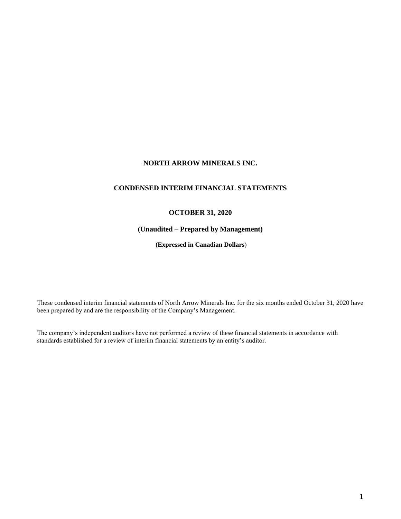# **NORTH ARROW MINERALS INC.**

# **CONDENSED INTERIM FINANCIAL STATEMENTS**

# **OCTOBER 31, 2020**

# **(Unaudited – Prepared by Management)**

**(Expressed in Canadian Dollars**)

These condensed interim financial statements of North Arrow Minerals Inc. for the six months ended October 31, 2020 have been prepared by and are the responsibility of the Company's Management.

The company's independent auditors have not performed a review of these financial statements in accordance with standards established for a review of interim financial statements by an entity's auditor.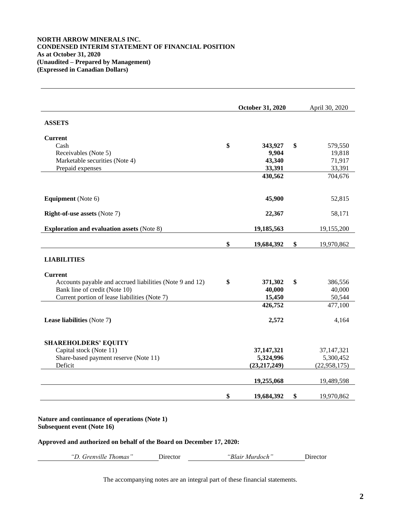## **NORTH ARROW MINERALS INC. CONDENSED INTERIM STATEMENT OF FINANCIAL POSITION As at October 31, 2020 (Unaudited – Prepared by Management) (Expressed in Canadian Dollars)**

|                                                          | October 31, 2020 | April 30, 2020   |
|----------------------------------------------------------|------------------|------------------|
| <b>ASSETS</b>                                            |                  |                  |
| <b>Current</b>                                           |                  |                  |
| Cash                                                     | \$<br>343,927    | \$<br>579,550    |
| Receivables (Note 5)                                     | 9,904            | 19,818           |
| Marketable securities (Note 4)                           | 43,340           | 71,917           |
| Prepaid expenses                                         | 33,391           | 33,391           |
|                                                          | 430,562          | 704,676          |
| <b>Equipment</b> (Note 6)                                | 45,900           | 52,815           |
| <b>Right-of-use assets (Note 7)</b>                      | 22,367           | 58,171           |
| <b>Exploration and evaluation assets (Note 8)</b>        | 19,185,563       | 19,155,200       |
|                                                          | \$<br>19,684,392 | \$<br>19,970,862 |
| <b>LIABILITIES</b>                                       |                  |                  |
| <b>Current</b>                                           |                  |                  |
| Accounts payable and accrued liabilities (Note 9 and 12) | \$<br>371,302    | \$<br>386,556    |
| Bank line of credit (Note 10)                            | 40,000           | 40,000           |
| Current portion of lease liabilities (Note 7)            | 15,450           | 50,544           |
|                                                          | 426,752          | 477,100          |
| Lease liabilities (Note 7)                               | 2,572            | 4,164            |
| <b>SHAREHOLDERS' EQUITY</b>                              |                  |                  |
| Capital stock (Note 11)                                  | 37, 147, 321     | 37, 147, 321     |
| Share-based payment reserve (Note 11)                    | 5,324,996        | 5,300,452        |
| Deficit                                                  | (23, 217, 249)   | (22, 958, 175)   |
|                                                          | 19,255,068       | 19,489,598       |
|                                                          |                  |                  |

*"D. Grenville Thomas"* Director *"Blair Murdoch"* Director

The accompanying notes are an integral part of these financial statements.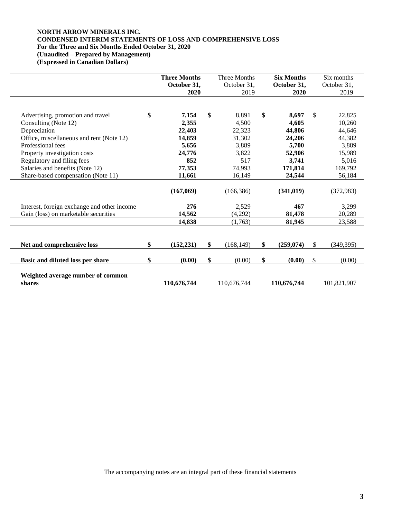# **NORTH ARROW MINERALS INC. CONDENSED INTERIM STATEMENTS OF LOSS AND COMPREHENSIVE LOSS For the Three and Six Months Ended October 31, 2020 (Unaudited – Prepared by Management)**

**(Expressed in Canadian Dollars)**

|                                             | <b>Three Months</b><br>October 31,<br>2020 |               | <b>Three Months</b><br>October 31,<br>2019 | <b>Six Months</b><br>October 31,<br>2020 |              | Six months<br>October 31,<br>2019 |
|---------------------------------------------|--------------------------------------------|---------------|--------------------------------------------|------------------------------------------|--------------|-----------------------------------|
|                                             |                                            |               |                                            |                                          |              |                                   |
| Advertising, promotion and travel           | \$<br>7,154                                | $\mathbf{\$}$ | 8.891                                      | \$<br>8.697                              | $\mathbb{S}$ | 22,825                            |
| Consulting (Note 12)                        | 2,355                                      |               | 4,500                                      | 4,605                                    |              | 10,260                            |
| Depreciation                                | 22,403                                     |               | 22,323                                     | 44,806                                   |              | 44,646                            |
| Office, miscellaneous and rent (Note 12)    | 14,859                                     |               | 31,302                                     | 24,206                                   |              | 44,382                            |
| Professional fees                           | 5,656                                      |               | 3,889                                      | 5,700                                    |              | 3,889                             |
| Property investigation costs                | 24,776                                     |               | 3,822                                      | 52,906                                   |              | 15,989                            |
| Regulatory and filing fees                  | 852                                        |               | 517                                        | 3,741                                    |              | 5,016                             |
| Salaries and benefits (Note 12)             | 77,353                                     |               | 74,993                                     | 171,814                                  |              | 169,792                           |
| Share-based compensation (Note 11)          | 11,661                                     |               | 16,149                                     | 24,544                                   |              | 56,184                            |
|                                             | (167,069)                                  |               | (166, 386)                                 | (341, 019)                               |              | (372, 983)                        |
|                                             |                                            |               |                                            |                                          |              |                                   |
| Interest, foreign exchange and other income | 276                                        |               | 2,529                                      | 467                                      |              | 3,299                             |
| Gain (loss) on marketable securities        | 14,562                                     |               | (4,292)                                    | 81,478                                   |              | 20,289                            |
|                                             | 14,838                                     |               | (1,763)                                    | 81,945                                   |              | 23,588                            |
|                                             |                                            |               |                                            |                                          |              |                                   |
| Net and comprehensive loss                  | \$<br>(152, 231)                           | \$            | (168, 149)                                 | \$<br>(259, 074)                         | \$           | (349, 395)                        |
| Basic and diluted loss per share            | \$<br>(0.00)                               | \$            | (0.00)                                     | \$<br>(0.00)                             | \$           | (0.00)                            |
|                                             |                                            |               |                                            |                                          |              |                                   |
| Weighted average number of common           |                                            |               |                                            |                                          |              |                                   |
| shares                                      | 110,676,744                                |               | 110,676,744                                | 110,676,744                              |              | 101,821,907                       |

The accompanying notes are an integral part of these financial statements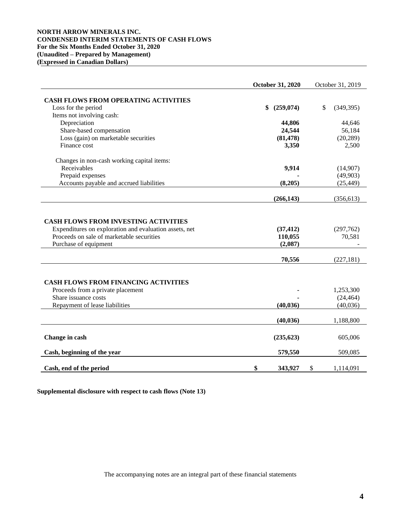## **NORTH ARROW MINERALS INC. CONDENSED INTERIM STATEMENTS OF CASH FLOWS For the Six Months Ended October 31, 2020 (Unaudited – Prepared by Management) (Expressed in Canadian Dollars)**

|                                                                    | October 31, 2020             | October 31, 2019     |
|--------------------------------------------------------------------|------------------------------|----------------------|
| <b>CASH FLOWS FROM OPERATING ACTIVITIES</b>                        |                              |                      |
| Loss for the period                                                | \$<br>(259, 074)             | \$<br>(349, 395)     |
| Items not involving cash:                                          |                              |                      |
| Depreciation                                                       | 44,806                       | 44,646               |
| Share-based compensation                                           | 24,544                       | 56,184               |
| Loss (gain) on marketable securities                               | (81, 478)                    | (20, 289)            |
| Finance cost                                                       | 3,350                        | 2,500                |
| Changes in non-cash working capital items:                         |                              |                      |
| Receivables                                                        | 9,914                        | (14,907)             |
| Prepaid expenses                                                   |                              | (49,903)             |
| Accounts payable and accrued liabilities                           | (8,205)                      | (25, 449)            |
|                                                                    | (266, 143)                   | (356, 613)           |
| Proceeds on sale of marketable securities<br>Purchase of equipment | 110,055<br>(2,087)<br>70,556 | 70,581<br>(227, 181) |
|                                                                    |                              |                      |
| <b>CASH FLOWS FROM FINANCING ACTIVITIES</b>                        |                              |                      |
| Proceeds from a private placement                                  |                              | 1,253,300            |
| Share issuance costs                                               |                              | (24, 464)            |
| Repayment of lease liabilities                                     | (40, 036)                    | (40,036)             |
|                                                                    | (40, 036)                    | 1,188,800            |
| Change in cash                                                     | (235, 623)                   | 605,006              |
| Cash, beginning of the year                                        | 579,550                      | 509,085              |
| Cash, end of the period                                            | \$<br>343,927                | \$<br>1,114,091      |

**Supplemental disclosure with respect to cash flows (Note 13)**

The accompanying notes are an integral part of these financial statements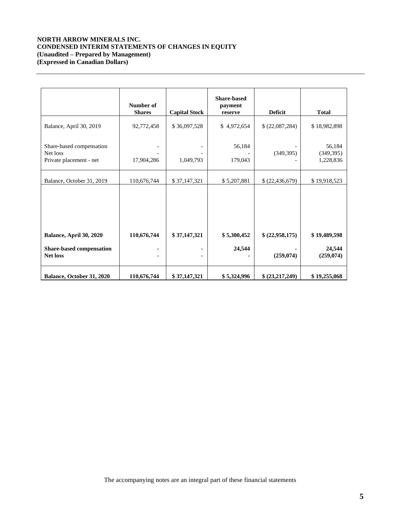# **NORTH ARROW MINERALS INC. CONDENSED INTERIM STATEMENTS OF CHANGES IN EQUITY (Unaudited – Prepared by Management) (Expressed in Canadian Dollars)**

|                                                                 | Number of<br><b>Shares</b> | <b>Capital Stock</b> | <b>Share-based</b><br>payment<br>reserve | <b>Deficit</b>  | <b>Total</b>                      |
|-----------------------------------------------------------------|----------------------------|----------------------|------------------------------------------|-----------------|-----------------------------------|
| Balance, April 30, 2019                                         | 92,772,458                 | \$36,097,528         | \$4,972,654                              | \$(22,087,284)  | \$18,982,898                      |
| Share-based compensation<br>Net loss<br>Private placement - net | 17,904,286                 | 1,049,793            | 56,184<br>179,043                        | (349, 395)      | 56,184<br>(349, 395)<br>1,228,836 |
| Balance, October 31, 2019                                       | 110,676,744                | \$37,147,321         | \$5,207,881                              | \$(22,436,679)  | \$19,918,523                      |
| Balance, April 30, 2020                                         | 110,676,744                | \$37,147,321         | \$5,300,452                              | \$ (22,958,175) | \$19,489,598                      |
| Share-based compensation<br><b>Net loss</b>                     |                            |                      | 24,544                                   | (259, 074)      | 24,544<br>(259, 074)              |
| Balance, October 31, 2020                                       | 110,676,744                | \$37,147,321         | \$5,324,996                              | \$(23,217,249)  | \$19,255,068                      |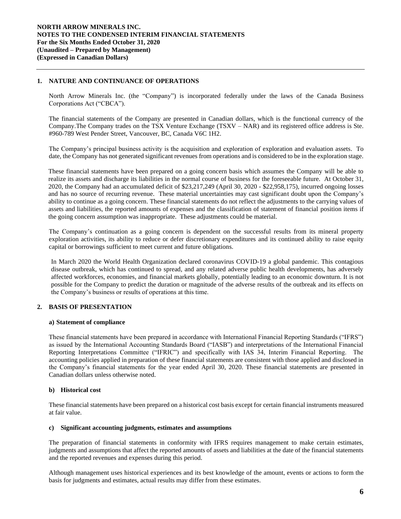# **1. NATURE AND CONTINUANCE OF OPERATIONS**

North Arrow Minerals Inc. (the "Company") is incorporated federally under the laws of the Canada Business Corporations Act ("CBCA").

The financial statements of the Company are presented in Canadian dollars, which is the functional currency of the Company.The Company trades on the TSX Venture Exchange (TSXV – NAR) and its registered office address is Ste. #960-789 West Pender Street, Vancouver, BC, Canada V6C 1H2.

The Company's principal business activity is the acquisition and exploration of exploration and evaluation assets. To date, the Company has not generated significant revenues from operations and is considered to be in the exploration stage.

These financial statements have been prepared on a going concern basis which assumes the Company will be able to realize its assets and discharge its liabilities in the normal course of business for the foreseeable future. At October 31, 2020, the Company had an accumulated deficit of \$23,217,249 (April 30, 2020 - \$22,958,175), incurred ongoing losses and has no source of recurring revenue. These material uncertainties may cast significant doubt upon the Company's ability to continue as a going concern. These financial statements do not reflect the adjustments to the carrying values of assets and liabilities, the reported amounts of expenses and the classification of statement of financial position items if the going concern assumption was inappropriate. These adjustments could be material.

The Company's continuation as a going concern is dependent on the successful results from its mineral property exploration activities, its ability to reduce or defer discretionary expenditures and its continued ability to raise equity capital or borrowings sufficient to meet current and future obligations.

In March 2020 the World Health Organization declared coronavirus COVID-19 a global pandemic. This contagious disease outbreak, which has continued to spread, and any related adverse public health developments, has adversely affected workforces, economies, and financial markets globally, potentially leading to an economic downturn. It is not possible for the Company to predict the duration or magnitude of the adverse results of the outbreak and its effects on the Company's business or results of operations at this time.

## **2. BASIS OF PRESENTATION**

### **a) Statement of compliance**

These financial statements have been prepared in accordance with International Financial Reporting Standards ("IFRS") as issued by the International Accounting Standards Board ("IASB") and interpretations of the International Financial Reporting Interpretations Committee ("IFRIC") and specifically with IAS 34, Interim Financial Reporting. The accounting policies applied in preparation of these financial statements are consistent with those applied and disclosed in the Company's financial statements for the year ended April 30, 2020. These financial statements are presented in Canadian dollars unless otherwise noted.

## **b) Historical cost**

These financial statements have been prepared on a historical cost basis except for certain financial instruments measured at fair value.

### **c) Significant accounting judgments, estimates and assumptions**

The preparation of financial statements in conformity with IFRS requires management to make certain estimates, judgments and assumptions that affect the reported amounts of assets and liabilities at the date of the financial statements and the reported revenues and expenses during this period.

Although management uses historical experiences and its best knowledge of the amount, events or actions to form the basis for judgments and estimates, actual results may differ from these estimates.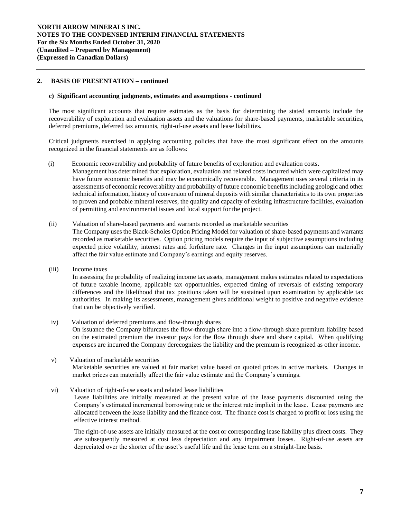## **2. BASIS OF PRESENTATION – continued**

#### **c) Significant accounting judgments, estimates and assumptions** *-* **continued**

of permitting and environmental issues and local support for the project.

The most significant accounts that require estimates as the basis for determining the stated amounts include the recoverability of exploration and evaluation assets and the valuations for share-based payments, marketable securities, deferred premiums, deferred tax amounts, right-of-use assets and lease liabilities.

Critical judgments exercised in applying accounting policies that have the most significant effect on the amounts recognized in the financial statements are as follows:

- (i) Economic recoverability and probability of future benefits of exploration and evaluation costs*.*  Management has determined that exploration, evaluation and related costs incurred which were capitalized may have future economic benefits and may be economically recoverable. Management uses several criteria in its assessments of economic recoverability and probability of future economic benefits including geologic and other technical information, history of conversion of mineral deposits with similar characteristics to its own properties to proven and probable mineral reserves, the quality and capacity of existing infrastructure facilities, evaluation
- (ii) Valuation of share-based payments and warrants recorded as marketable securities The Company uses the Black-Scholes Option Pricing Model for valuation of share-based payments and warrants recorded as marketable securities. Option pricing models require the input of subjective assumptions including expected price volatility, interest rates and forfeiture rate. Changes in the input assumptions can materially affect the fair value estimate and Company's earnings and equity reserves.
- (iii) Income taxes

In assessing the probability of realizing income tax assets, management makes estimates related to expectations of future taxable income, applicable tax opportunities, expected timing of reversals of existing temporary differences and the likelihood that tax positions taken will be sustained upon examination by applicable tax authorities. In making its assessments, management gives additional weight to positive and negative evidence that can be objectively verified.

- iv) Valuation of deferred premiums and flow-through shares On issuance the Company bifurcates the flow-through share into a flow-through share premium liability based on the estimated premium the investor pays for the flow through share and share capital. When qualifying expenses are incurred the Company derecognizes the liability and the premium is recognized as other income.
- v) Valuation of marketable securities Marketable securities are valued at fair market value based on quoted prices in active markets. Changes in market prices can materially affect the fair value estimate and the Company's earnings.
- vi) Valuation of right-of-use assets and related lease liabilities

Lease liabilities are initially measured at the present value of the lease payments discounted using the Company's estimated incremental borrowing rate or the interest rate implicit in the lease. Lease payments are allocated between the lease liability and the finance cost. The finance cost is charged to profit or loss using the effective interest method.

The right-of-use assets are initially measured at the cost or corresponding lease liability plus direct costs. They are subsequently measured at cost less depreciation and any impairment losses. Right-of-use assets are depreciated over the shorter of the asset's useful life and the lease term on a straight-line basis.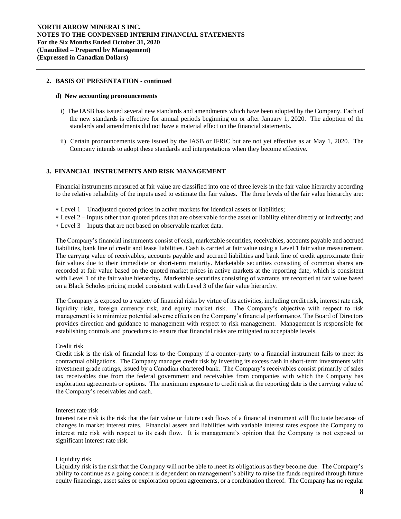### **2. BASIS OF PRESENTATION - continued**

#### **d) New accounting pronouncements**

- i) The IASB has issued several new standards and amendments which have been adopted by the Company. Each of the new standards is effective for annual periods beginning on or after January 1, 2020. The adoption of the standards and amendments did not have a material effect on the financial statements.
- ii) Certain pronouncements were issued by the IASB or IFRIC but are not yet effective as at May 1, 2020. The Company intends to adopt these standards and interpretations when they become effective.

#### **3. FINANCIAL INSTRUMENTS AND RISK MANAGEMENT**

Financial instruments measured at fair value are classified into one of three levels in the fair value hierarchy according to the relative reliability of the inputs used to estimate the fair values. The three levels of the fair value hierarchy are:

- Level 1 Unadjusted quoted prices in active markets for identical assets or liabilities;
- Level 2 Inputs other than quoted prices that are observable for the asset or liability either directly or indirectly; and
- Level 3 Inputs that are not based on observable market data.

The Company's financial instruments consist of cash, marketable securities, receivables, accounts payable and accrued liabilities, bank line of credit and lease liabilities. Cash is carried at fair value using a Level 1 fair value measurement. The carrying value of receivables, accounts payable and accrued liabilities and bank line of credit approximate their fair values due to their immediate or short-term maturity. Marketable securities consisting of common shares are recorded at fair value based on the quoted market prices in active markets at the reporting date, which is consistent with Level 1 of the fair value hierarchy**.** Marketable securities consisting of warrants are recorded at fair value based on a Black Scholes pricing model consistent with Level 3 of the fair value hierarchy.

The Company is exposed to a variety of financial risks by virtue of its activities, including credit risk, interest rate risk, liquidity risks, foreign currency risk, and equity market risk. The Company's objective with respect to risk management is to minimize potential adverse effects on the Company's financial performance. The Board of Directors provides direction and guidance to management with respect to risk management. Management is responsible for establishing controls and procedures to ensure that financial risks are mitigated to acceptable levels.

#### Credit risk

Credit risk is the risk of financial loss to the Company if a counter-party to a financial instrument fails to meet its contractual obligations. The Company manages credit risk by investing its excess cash in short-term investments with investment grade ratings, issued by a Canadian chartered bank. The Company's receivables consist primarily of sales tax receivables due from the federal government and receivables from companies with which the Company has exploration agreements or options. The maximum exposure to credit risk at the reporting date is the carrying value of the Company's receivables and cash.

### Interest rate risk

Interest rate risk is the risk that the fair value or future cash flows of a financial instrument will fluctuate because of changes in market interest rates. Financial assets and liabilities with variable interest rates expose the Company to interest rate risk with respect to its cash flow. It is management's opinion that the Company is not exposed to significant interest rate risk.

#### Liquidity risk

Liquidity risk is the risk that the Company will not be able to meet its obligations as they become due. The Company's ability to continue as a going concern is dependent on management's ability to raise the funds required through future equity financings, asset sales or exploration option agreements, or a combination thereof. The Company has no regular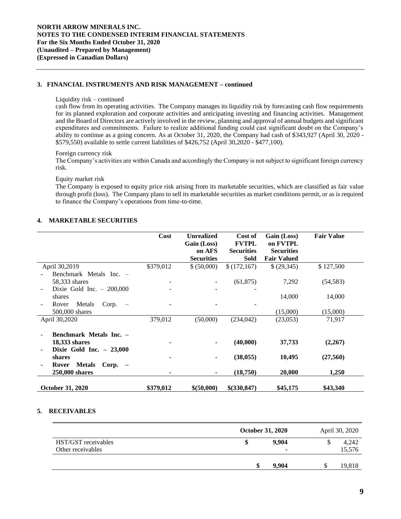# **3. FINANCIAL INSTRUMENTS AND RISK MANAGEMENT – continued**

### Liquidity risk – continued

cash flow from its operating activities. The Company manages its liquidity risk by forecasting cash flow requirements for its planned exploration and corporate activities and anticipating investing and financing activities. Management and the Board of Directors are actively involved in the review, planning and approval of annual budgets and significant expenditures and commitments. Failure to realize additional funding could cast significant doubt on the Company's ability to continue as a going concern. As at October 31, 2020, the Company had cash of \$343,927 (April 30, 2020 - \$579,550) available to settle current liabilities of \$426,752 (April 30,2020 - \$477,100).

## Foreign currency risk

The Company's activities are within Canada and accordingly the Company is not subject to significant foreign currency risk.

Equity market risk

The Company is exposed to equity price risk arising from its marketable securities, which are classified as fair value through profit (loss). The Company plans to sell its marketable securities as market conditions permit, or as is required to finance the Company's operations from time-to-time.

# **4. MARKETABLE SECURITIES**

|                                                      | Cost      | <b>Unrealized</b>     | Cost of                           | Gain (Loss)                   | <b>Fair Value</b> |
|------------------------------------------------------|-----------|-----------------------|-----------------------------------|-------------------------------|-------------------|
|                                                      |           | Gain (Loss)<br>on AFS | <b>FVTPL</b><br><b>Securities</b> | on FVTPL<br><b>Securities</b> |                   |
|                                                      |           | <b>Securities</b>     | Sold                              | <b>Fair Valued</b>            |                   |
| April 30,2019                                        | \$379,012 | \$ (50,000)           | \$(172,167)                       | \$(29,345)                    | \$127,500         |
| Benchmark Metals Inc. -                              |           |                       |                                   |                               |                   |
| 58,333 shares                                        |           |                       | (61, 875)                         | 7,292                         | (54, 583)         |
| Dixie Gold Inc. $-200,000$                           |           |                       |                                   |                               |                   |
| shares                                               |           |                       |                                   | 14,000                        | 14,000            |
| Metals<br>Corp.<br>Rover<br>$\overline{\phantom{0}}$ |           |                       |                                   |                               |                   |
| 500,000 shares                                       |           |                       |                                   | (15,000)                      | (15,000)          |
| April 30,2020                                        | 379,012   | (50,000)              | (234, 042)                        | (23,053)                      | 71,917            |
| Benchmark Metals Inc. -                              |           |                       |                                   |                               |                   |
| 18,333 shares                                        |           |                       | (40,000)                          | 37,733                        | (2,267)           |
| Dixie Gold Inc. $-23,000$                            |           |                       |                                   |                               |                   |
| shares                                               |           |                       | (38, 055)                         | 10,495                        | (27, 560)         |
| <b>Metals</b><br>$Corp. -$<br>Rover                  |           |                       |                                   |                               |                   |
| 250,000 shares                                       |           |                       | (18,750)                          | 20,000                        | 1,250             |
| <b>October 31, 2020</b>                              | \$379,012 | \$ (50,000)           | $$$ (330,847)                     | \$45,175                      | \$43,340          |

## **5. RECEIVABLES**

|                     | <b>October 31, 2020</b> | April 30, 2020 |
|---------------------|-------------------------|----------------|
| HST/GST receivables | 9.904                   | 4,242          |
| Other receivables   | ۰                       | 15,576         |
|                     | 9.904                   | 19,818         |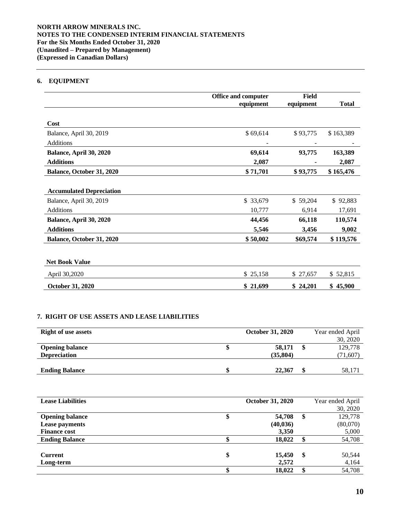# **6. EQUIPMENT**

|                                 | Office and computer | Field     |              |
|---------------------------------|---------------------|-----------|--------------|
|                                 | equipment           | equipment | <b>Total</b> |
|                                 |                     |           |              |
| Cost                            |                     |           |              |
| Balance, April 30, 2019         | \$69,614            | \$93,775  | \$163,389    |
| <b>Additions</b>                |                     |           |              |
| Balance, April 30, 2020         | 69,614              | 93,775    | 163,389      |
| <b>Additions</b>                | 2,087               |           | 2,087        |
| Balance, October 31, 2020       | \$71,701            | \$93,775  | \$165,476    |
|                                 |                     |           |              |
| <b>Accumulated Depreciation</b> |                     |           |              |
| Balance, April 30, 2019         | \$ 33,679           | \$59,204  | \$92,883     |
| <b>Additions</b>                | 10,777              | 6,914     | 17,691       |
| Balance, April 30, 2020         | 44,456              | 66,118    | 110,574      |
| <b>Additions</b>                | 5,546               | 3,456     | 9,002        |
| Balance, October 31, 2020       | \$50,002            | \$69,574  | \$119,576    |
|                                 |                     |           |              |
| <b>Net Book Value</b>           |                     |           |              |
| April 30,2020                   | \$25,158            | \$ 27,657 | \$52,815     |
| October 31, 2020                | \$21,699            | \$24,201  | \$45,900     |

# **7. RIGHT OF USE ASSETS AND LEASE LIABILITIES**

| <b>Right of use assets</b> | <b>October 31, 2020</b> | Year ended April |
|----------------------------|-------------------------|------------------|
|                            |                         | 30, 2020         |
| <b>Opening balance</b>     | 58,171                  | 129,778          |
| <b>Depreciation</b>        | (35, 804)               | (71, 607)        |
|                            |                         |                  |
| <b>Ending Balance</b>      | 22,367                  | 58,171           |

| <b>Lease Liabilities</b> |    | <b>October 31, 2020</b> |    | Year ended April |
|--------------------------|----|-------------------------|----|------------------|
|                          |    |                         |    | 30, 2020         |
| <b>Opening balance</b>   | Φ  | 54,708                  | S  | 129,778          |
| Lease payments           |    | (40, 036)               |    | (80,070)         |
| <b>Finance cost</b>      |    | 3,350                   |    | 5,000            |
| <b>Ending Balance</b>    |    | 18,022                  |    | 54,708           |
|                          |    |                         |    |                  |
| <b>Current</b>           | \$ | 15,450                  | \$ | 50,544           |
| Long-term                |    | 2,572                   |    | 4,164            |
|                          |    | 18,022                  |    | 54,708           |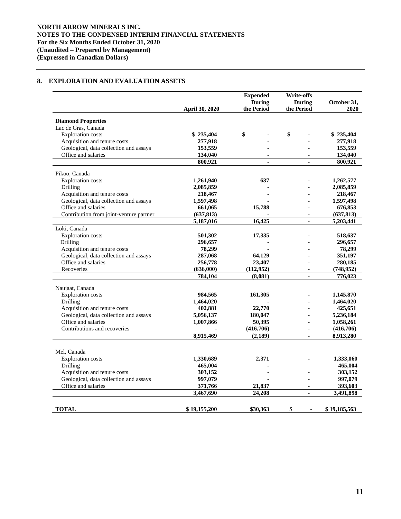# **8. EXPLORATION AND EVALUATION ASSETS**

|                                         | <b>April 30, 2020</b> | <b>Expended</b><br><b>During</b><br>the Period | <b>Write-offs</b><br><b>During</b><br>the Period | October 31,<br>2020 |
|-----------------------------------------|-----------------------|------------------------------------------------|--------------------------------------------------|---------------------|
|                                         |                       |                                                |                                                  |                     |
| <b>Diamond Properties</b>               |                       |                                                |                                                  |                     |
| Lac de Gras, Canada                     |                       |                                                |                                                  |                     |
| <b>Exploration</b> costs                | \$235,404             | \$                                             | \$                                               | \$235,404           |
| Acquisition and tenure costs            | 277,918               |                                                |                                                  | 277,918             |
| Geological, data collection and assays  | 153,559               |                                                |                                                  | 153,559             |
| Office and salaries                     | 134,040               |                                                |                                                  | 134,040             |
|                                         | 800,921               | ÷.                                             | $\mathbf{r}$                                     | 800,921             |
| Pikoo, Canada                           |                       |                                                |                                                  |                     |
| <b>Exploration</b> costs                | 1,261,940             | 637                                            |                                                  | 1,262,577           |
| Drilling                                | 2,085,859             |                                                |                                                  | 2,085,859           |
| Acquisition and tenure costs            | 218,467               |                                                |                                                  | 218,467             |
| Geological, data collection and assays  | 1,597,498             |                                                |                                                  | 1,597,498           |
| Office and salaries                     | 661,065               | 15,788                                         |                                                  | 676,853             |
| Contribution from joint-venture partner | (637, 813)            |                                                | $\blacksquare$                                   | (637, 813)          |
|                                         | 5,187,016             | 16,425                                         | $\blacksquare$                                   | 5,203,441           |
| Loki, Canada                            |                       |                                                |                                                  |                     |
| <b>Exploration</b> costs                | 501,302               | 17,335                                         |                                                  | 518,637             |
| Drilling                                | 296,657               |                                                |                                                  | 296,657             |
| Acquisition and tenure costs            | 78,299                |                                                |                                                  | 78,299              |
| Geological, data collection and assays  | 287,068               | 64,129                                         |                                                  | 351,197             |
| Office and salaries                     | 256,778               | 23,407                                         |                                                  | 280,185             |
| Recoveries                              | (636,000)             | (112, 952)                                     |                                                  | (748, 952)          |
|                                         | 784,104               | (8,081)                                        |                                                  | 776,023             |
| Naujaat, Canada                         |                       |                                                |                                                  |                     |
| <b>Exploration</b> costs                | 984,565               | 161,305                                        |                                                  | 1,145,870           |
| Drilling                                | 1,464,020             |                                                |                                                  | 1,464,020           |
| Acquisition and tenure costs            | 402,881               | 22,770                                         |                                                  | 425,651             |
| Geological, data collection and assays  | 5,056,137             | 180,047                                        |                                                  | 5,236,184           |
| Office and salaries                     | 1,007,866             | 50,395                                         |                                                  | 1,058,261           |
| Contributions and recoveries            |                       | (416,706)                                      | $\blacksquare$                                   | (416,706)           |
|                                         | 8,915,469             | (2, 189)                                       | $\mathbf{r}$                                     | 8,913,280           |
|                                         |                       |                                                |                                                  |                     |
| Mel, Canada                             |                       |                                                |                                                  |                     |
| <b>Exploration</b> costs                | 1,330,689             | 2,371                                          |                                                  | 1,333,060           |
| Drilling                                | 465,004               |                                                |                                                  | 465,004             |
| Acquisition and tenure costs            | 303,152               |                                                |                                                  | 303,152             |
| Geological, data collection and assays  | 997,079               |                                                |                                                  | 997,079             |
| Office and salaries                     | 371,766               | 21,837                                         |                                                  | 393,603             |
|                                         | 3,467,690             | 24,208                                         | $\sim$                                           | 3,491,898           |
|                                         |                       |                                                |                                                  |                     |
| <b>TOTAL</b>                            | \$19,155,200          | \$30,363                                       | \$<br>$\blacksquare$                             | \$19,185,563        |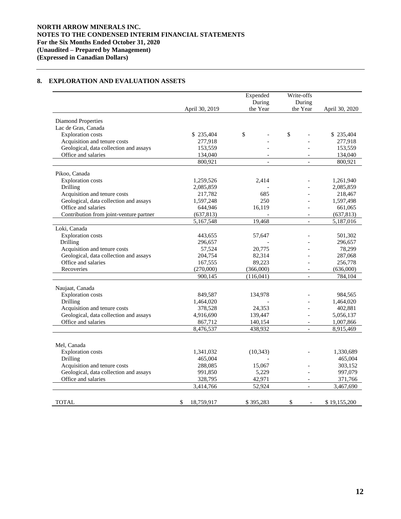# **8. EXPLORATION AND EVALUATION ASSETS**

|                                         |                  | Expended<br>During       | Write-offs<br>During     |                |
|-----------------------------------------|------------------|--------------------------|--------------------------|----------------|
|                                         | April 30, 2019   | the Year                 | the Year                 | April 30, 2020 |
| <b>Diamond Properties</b>               |                  |                          |                          |                |
| Lac de Gras, Canada                     |                  |                          |                          |                |
| <b>Exploration</b> costs                | \$235,404        | \$                       | \$                       | \$235,404      |
| Acquisition and tenure costs            | 277,918          |                          |                          | 277,918        |
| Geological, data collection and assays  | 153,559          |                          |                          | 153,559        |
| Office and salaries                     | 134,040          | $\overline{\phantom{a}}$ |                          | 134,040        |
|                                         | 800,921          | $\overline{a}$           | $\overline{a}$           | 800,921        |
| Pikoo, Canada                           |                  |                          |                          |                |
| <b>Exploration</b> costs                | 1,259,526        | 2,414                    |                          | 1,261,940      |
| Drilling                                | 2,085,859        |                          |                          | 2,085,859      |
| Acquisition and tenure costs            | 217,782          | 685                      |                          | 218,467        |
| Geological, data collection and assays  | 1,597,248        | 250                      |                          | 1,597,498      |
| Office and salaries                     | 644,946          | 16,119                   |                          | 661,065        |
| Contribution from joint-venture partner | (637, 813)       |                          | $\overline{a}$           | (637, 813)     |
|                                         | 5,167,548        | 19,468                   | $\equiv$                 | 5,187,016      |
| Loki, Canada                            |                  |                          |                          |                |
| <b>Exploration</b> costs                | 443,655          | 57,647                   |                          | 501,302        |
| Drilling                                | 296,657          |                          |                          | 296,657        |
| Acquisition and tenure costs            | 57,524           | 20,775                   |                          | 78,299         |
| Geological, data collection and assays  | 204,754          | 82,314                   |                          | 287,068        |
| Office and salaries                     | 167,555          | 89,223                   |                          | 256,778        |
| Recoveries                              | (270,000)        | (366,000)                | $\overline{\phantom{a}}$ | (636,000)      |
|                                         | 900,145          | (116,041)                | $\equiv$                 | 784,104        |
| Naujaat, Canada                         |                  |                          |                          |                |
| <b>Exploration</b> costs                | 849,587          | 134,978                  |                          | 984,565        |
| Drilling                                | 1,464,020        |                          |                          | 1,464,020      |
| Acquisition and tenure costs            | 378,528          | 24,353                   |                          | 402,881        |
| Geological, data collection and assays  | 4,916,690        | 139,447                  |                          | 5,056,137      |
| Office and salaries                     | 867,712          | 140,154                  | $\overline{a}$           | 1,007,866      |
|                                         | 8,476,537        | 438,932                  | $\mathbf{r}$             | 8,915,469      |
|                                         |                  |                          |                          |                |
| Mel, Canada                             |                  |                          |                          |                |
| <b>Exploration</b> costs                | 1,341,032        | (10, 343)                |                          | 1,330,689      |
| Drilling                                | 465,004          |                          |                          | 465,004        |
| Acquisition and tenure costs            | 288,085          | 15,067                   |                          | 303,152        |
| Geological, data collection and assays  | 991,850          | 5,229                    |                          | 997,079        |
| Office and salaries                     | 328,795          | 42,971                   | $\overline{\phantom{a}}$ | 371,766        |
|                                         | 3,414,766        | 52,924                   | $\equiv$                 | 3,467,690      |
| TOTAL                                   | \$<br>18,759,917 | \$395,283                | \$<br>$\sim$             | \$19,155,200   |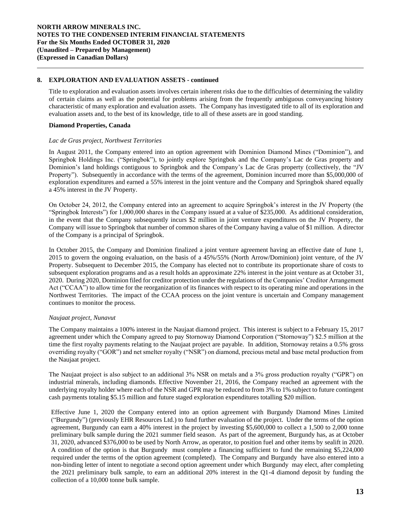## **8. EXPLORATION AND EVALUATION ASSETS - continued**

Title to exploration and evaluation assets involves certain inherent risks due to the difficulties of determining the validity of certain claims as well as the potential for problems arising from the frequently ambiguous conveyancing history characteristic of many exploration and evaluation assets. The Company has investigated title to all of its exploration and evaluation assets and, to the best of its knowledge, title to all of these assets are in good standing.

## **Diamond Properties, Canada**

### *Lac de Gras project, Northwest Territories*

In August 2011, the Company entered into an option agreement with Dominion Diamond Mines ("Dominion"), and Springbok Holdings Inc. ("Springbok"), to jointly explore Springbok and the Company's Lac de Gras property and Dominion's land holdings contiguous to Springbok and the Company's Lac de Gras property (collectively, the "JV Property"). Subsequently in accordance with the terms of the agreement, Dominion incurred more than \$5,000,000 of exploration expenditures and earned a 55% interest in the joint venture and the Company and Springbok shared equally a 45% interest in the JV Property.

On October 24, 2012, the Company entered into an agreement to acquire Springbok's interest in the JV Property (the "Springbok Interests") for 1,000,000 shares in the Company issued at a value of \$235,000. As additional consideration, in the event that the Company subsequently incurs \$2 million in joint venture expenditures on the JV Property, the Company will issue to Springbok that number of common shares of the Company having a value of \$1 million. A director of the Company is a principal of Springbok.

In October 2015, the Company and Dominion finalized a joint venture agreement having an effective date of June 1, 2015 to govern the ongoing evaluation, on the basis of a 45%/55% (North Arrow/Dominion) joint venture, of the JV Property. Subsequent to December 2015, the Company has elected not to contribute its proportionate share of costs to subsequent exploration programs and as a result holds an approximate 22% interest in the joint venture as at October 31, 2020. During 2020, Dominion filed for creditor protection under the regulations of the Companies' Creditor Arrangement Act ("CCAA") to allow time for the reorganization of its finances with respect to its operating mine and operations in the Northwest Territories. The impact of the CCAA process on the joint venture is uncertain and Company management continues to monitor the process.

## *Naujaat project, Nunavut*

The Company maintains a 100% interest in the Naujaat diamond project. This interest is subject to a February 15, 2017 agreement under which the Company agreed to pay Stornoway Diamond Corporation ("Stornoway") \$2.5 million at the time the first royalty payments relating to the Naujaat project are payable. In addition, Stornoway retains a 0.5% gross overriding royalty ("GOR") and net smelter royalty ("NSR") on diamond, precious metal and base metal production from the Naujaat project.

The Naujaat project is also subject to an additional 3% NSR on metals and a 3% gross production royalty ("GPR") on industrial minerals, including diamonds. Effective November 21, 2016, the Company reached an agreement with the underlying royalty holder where each of the NSR and GPR may be reduced to from 3% to 1% subject to future contingent cash payments totaling \$5.15 million and future staged exploration expenditures totalling \$20 million.

Effective June 1, 2020 the Company entered into an option agreement with Burgundy Diamond Mines Limited ("Burgundy") (previously EHR Resources Ltd.) to fund further evaluation of the project. Under the terms of the option agreement, Burgundy can earn a 40% interest in the project by investing \$5,600,000 to collect a 1,500 to 2,000 tonne preliminary bulk sample during the 2021 summer field season. As part of the agreement, Burgundy has, as at October 31, 2020, advanced \$376,000 to be used by North Arrow, as operator, to position fuel and other items by sealift in 2020. A condition of the option is that Burgundy must complete a financing sufficient to fund the remaining \$5,224,000 required under the terms of the option agreement (completed). The Company and Burgundy have also entered into a non-binding letter of intent to negotiate a second option agreement under which Burgundy may elect, after completing the 2021 preliminary bulk sample, to earn an additional 20% interest in the Q1-4 diamond deposit by funding the collection of a 10,000 tonne bulk sample.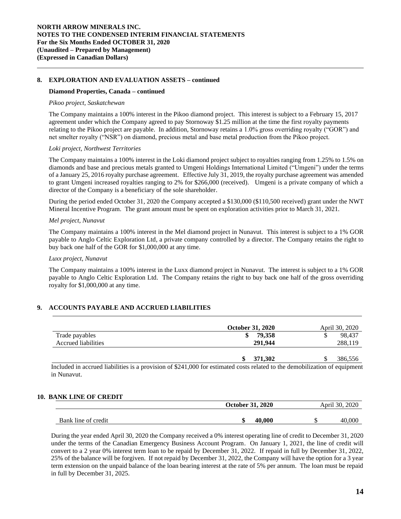## **8. EXPLORATION AND EVALUATION ASSETS – continued**

### **Diamond Properties, Canada – continued**

#### *Pikoo project, Saskatchewan*

The Company maintains a 100% interest in the Pikoo diamond project. This interest is subject to a February 15, 2017 agreement under which the Company agreed to pay Stornoway \$1.25 million at the time the first royalty payments relating to the Pikoo project are payable. In addition, Stornoway retains a 1.0% gross overriding royalty ("GOR") and net smelter royalty ("NSR") on diamond, precious metal and base metal production from the Pikoo project.

### *Loki project, Northwest Territories*

The Company maintains a 100% interest in the Loki diamond project subject to royalties ranging from 1.25% to 1.5% on diamonds and base and precious metals granted to Umgeni Holdings International Limited ("Umgeni") under the terms of a January 25, 2016 royalty purchase agreement. Effective July 31, 2019, the royalty purchase agreement was amended to grant Umgeni increased royalties ranging to 2% for \$266,000 (received). Umgeni is a private company of which a director of the Company is a beneficiary of the sole shareholder.

During the period ended October 31, 2020 the Company accepted a \$130,000 (\$110,500 received) grant under the NWT Mineral Incentive Program. The grant amount must be spent on exploration activities prior to March 31, 2021.

#### *Mel project, Nunavut*

The Company maintains a 100% interest in the Mel diamond project in Nunavut. This interest is subject to a 1% GOR payable to Anglo Celtic Exploration Ltd, a private company controlled by a director. The Company retains the right to buy back one half of the GOR for \$1,000,000 at any time.

#### *Luxx project, Nunavut*

The Company maintains a 100% interest in the Luxx diamond project in Nunavut. The interest is subject to a 1% GOR payable to Anglo Celtic Exploration Ltd. The Company retains the right to buy back one half of the gross overriding royalty for \$1,000,000 at any time.

## **9. ACCOUNTS PAYABLE AND ACCRUED LIABILITIES**

|                     | <b>October 31, 2020</b> | April 30, 2020 |
|---------------------|-------------------------|----------------|
| Trade payables      | 79.358                  | 98.437<br>S    |
| Accrued liabilities | 291.944                 | 288,119        |
|                     | 371.302                 | 386.556        |

Included in accrued liabilities is a provision of \$241,000 for estimated costs related to the demobilization of equipment in Nunavut.

## **10. BANK LINE OF CREDIT**

|                     | <b>October 31, 2020</b> | April 30, 2020 |
|---------------------|-------------------------|----------------|
| Bank line of credit | 40,000<br>۱D            | 40.000         |
|                     |                         |                |

During the year ended April 30, 2020 the Company received a 0% interest operating line of credit to December 31, 2020 under the terms of the Canadian Emergency Business Account Program. On January 1, 2021, the line of credit will convert to a 2 year 0% interest term loan to be repaid by December 31, 2022. If repaid in full by December 31, 2022, 25% of the balance will be forgiven. If not repaid by December 31, 2022, the Company will have the option for a 3 year term extension on the unpaid balance of the loan bearing interest at the rate of 5% per annum. The loan must be repaid in full by December 31, 2025.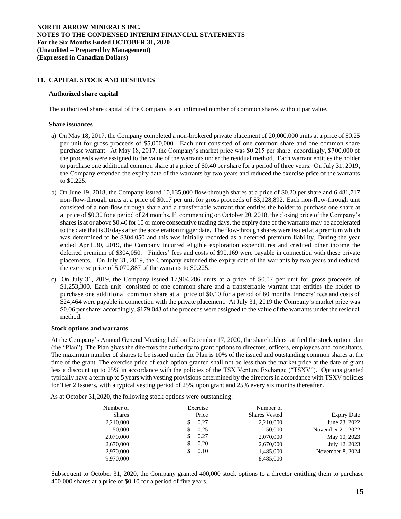## **11. CAPITAL STOCK AND RESERVES**

#### **Authorized share capital**

The authorized share capital of the Company is an unlimited number of common shares without par value.

#### **Share issuances**

- a) On May 18, 2017, the Company completed a non-brokered private placement of 20,000,000 units at a price of \$0.25 per unit for gross proceeds of \$5,000,000. Each unit consisted of one common share and one common share purchase warrant. At May 18, 2017, the Company's market price was \$0.215 per share: accordingly, \$700,000 of the proceeds were assigned to the value of the warrants under the residual method. Each warrant entitles the holder to purchase one additional common share at a price of \$0.40 per share for a period of three years. On July 31, 2019, the Company extended the expiry date of the warrants by two years and reduced the exercise price of the warrants to \$0.225.
- b) On June 19, 2018, the Company issued 10,135,000 flow-through shares at a price of \$0.20 per share and 6,481,717 non-flow-through units at a price of \$0.17 per unit for gross proceeds of \$3,128,892. Each non-flow-through unit consisted of a non-flow through share and a transferrable warrant that entitles the holder to purchase one share at a price of \$0.30 for a period of 24 months. If, commencing on October 20, 2018, the closing price of the Company's sharesis at or above \$0.40 for 10 or more consecutive trading days, the expiry date of the warrants may be accelerated to the date that is 30 days after the acceleration trigger date. The flow-through shares were issued at a premium which was determined to be \$304,050 and this was initially recorded as a deferred premium liability. During the year ended April 30, 2019, the Company incurred eligible exploration expenditures and credited other income the deferred premium of \$304,050. Finders' fees and costs of \$90,169 were payable in connection with these private placements. On July 31, 2019, the Company extended the expiry date of the warrants by two years and reduced the exercise price of 5,070,887 of the warrants to \$0.225.
- c) On July 31, 2019, the Company issued 17,904,286 units at a price of \$0.07 per unit for gross proceeds of \$1,253,300. Each unit consisted of one common share and a transferrable warrant that entitles the holder to purchase one additional common share at a price of \$0.10 for a period of 60 months. Finders' fees and costs of \$24,464 were payable in connection with the private placement. At July 31, 2019 the Company's market price was \$0.06 per share: accordingly, \$179,043 of the proceeds were assigned to the value of the warrants under the residual method.

### **Stock options and warrants**

At the Company's Annual General Meeting held on December 17, 2020, the shareholders ratified the stock option plan (the "Plan"). The Plan gives the directors the authority to grant options to directors, officers, employees and consultants. The maximum number of shares to be issued under the Plan is 10% of the issued and outstanding common shares at the time of the grant. The exercise price of each option granted shall not be less than the market price at the date of grant less a discount up to 25% in accordance with the policies of the TSX Venture Exchange ("TSXV"). Options granted typically have a term up to 5 years with vesting provisions determined by the directors in accordance with TSXV policies for Tier 2 Issuers, with a typical vesting period of 25% upon grant and 25% every six months thereafter.

| Number of     | Exercise | Number of            |                    |
|---------------|----------|----------------------|--------------------|
| <b>Shares</b> | Price    | <b>Shares Vested</b> | <b>Expiry Date</b> |
| 2,210,000     | 0.27     | 2,210,000            | June 23, 2022      |
| 50,000        | 0.25     | 50,000               | November 21, 2022  |
| 2,070,000     | 0.27     | 2,070,000            | May 10, 2023       |
| 2,670,000     | 0.20     | 2,670,000            | July 12, 2023      |
| 2,970,000     | 0.10     | 1,485,000            | November 8, 2024   |
| 9.970.000     |          | 8.485,000            |                    |

As at October 31,2020, the following stock options were outstanding:

Subsequent to October 31, 2020, the Company granted 400,000 stock options to a director entitling them to purchase 400,000 shares at a price of \$0.10 for a period of five years.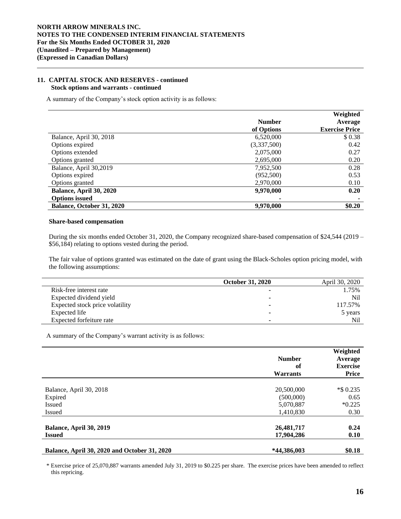## **11. CAPITAL STOCK AND RESERVES - continued Stock options and warrants - continued**

A summary of the Company's stock option activity is as follows:

|                           |               | Weighted              |
|---------------------------|---------------|-----------------------|
|                           | <b>Number</b> | Average               |
|                           | of Options    | <b>Exercise Price</b> |
| Balance, April 30, 2018   | 6,520,000     | \$0.38                |
| Options expired           | (3,337,500)   | 0.42                  |
| Options extended          | 2,075,000     | 0.27                  |
| Options granted           | 2,695,000     | 0.20                  |
| Balance, April 30,2019    | 7,952,500     | 0.28                  |
| Options expired           | (952,500)     | 0.53                  |
| Options granted           | 2,970,000     | 0.10                  |
| Balance, April 30, 2020   | 9,970,000     | 0.20                  |
| <b>Options issued</b>     |               |                       |
| Balance, October 31, 2020 | 9,970,000     | \$0.20                |

#### **Share-based compensation**

L,

During the six months ended October 31, 2020, the Company recognized share-based compensation of \$24,544 (2019 – \$56,184) relating to options vested during the period.

The fair value of options granted was estimated on the date of grant using the Black-Scholes option pricing model, with the following assumptions:

|                                 | <b>October 31, 2020</b>  | April 30, 2020  |
|---------------------------------|--------------------------|-----------------|
| Risk-free interest rate         |                          | 1.75%           |
| Expected dividend yield         | $\overline{\phantom{a}}$ | N <sub>il</sub> |
| Expected stock price volatility | $\overline{\phantom{a}}$ | 117.57%         |
| Expected life                   | $\overline{\phantom{0}}$ | 5 years         |
| Expected forfeiture rate        | $\blacksquare$           | Nil             |

A summary of the Company's warrant activity is as follows:

|                                                     | <b>Number</b><br>of<br><b>Warrants</b> | Weighted<br>Average<br><b>Exercise</b><br><b>Price</b> |
|-----------------------------------------------------|----------------------------------------|--------------------------------------------------------|
|                                                     |                                        |                                                        |
| Balance, April 30, 2018                             | 20,500,000                             | *\$ 0.235                                              |
| Expired                                             | (500,000)                              | 0.65                                                   |
| <b>Issued</b>                                       | 5,070,887                              | $*0.225$                                               |
| <b>Issued</b>                                       | 1,410,830                              | 0.30                                                   |
| Balance, April 30, 2019                             | 26,481,717                             | 0.24                                                   |
| <b>Issued</b>                                       | 17,904,286                             | 0.10                                                   |
| <b>Balance, April 30, 2020 and October 31, 2020</b> | *44,386,003                            | \$0.18                                                 |

\* Exercise price of 25,070,887 warrants amended July 31, 2019 to \$0.225 per share. The exercise prices have been amended to reflect this repricing.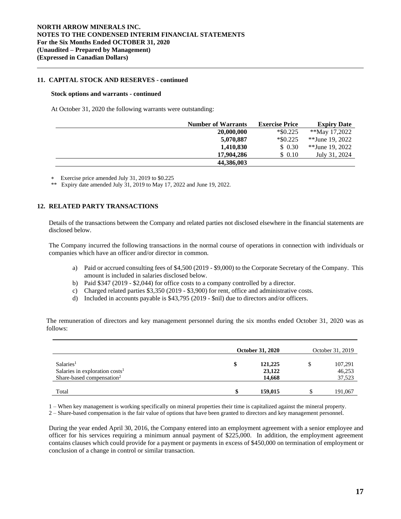## **11. CAPITAL STOCK AND RESERVES - continued**

### **Stock options and warrants - continued**

At October 31, 2020 the following warrants were outstanding:

| <b>Number of Warrants</b> | <b>Exercise Price</b> | <b>Expiry Date</b> |
|---------------------------|-----------------------|--------------------|
| 20,000,000                | $*$ \$0.225           | **May 17,2022      |
| 5,070,887                 | $*$ \$0.225           | **June 19, 2022    |
| 1,410,830                 | \$0.30                | **June 19, 2022    |
| 17,904,286                | \$ 0.10               | July 31, 2024      |
| 44,386,003                |                       |                    |

Exercise price amended July 31, 2019 to \$0.225

\*\* Expiry date amended July 31, 2019 to May 17, 2022 and June 19, 2022.

## **12. RELATED PARTY TRANSACTIONS**

Details of the transactions between the Company and related parties not disclosed elsewhere in the financial statements are disclosed below.

The Company incurred the following transactions in the normal course of operations in connection with individuals or companies which have an officer and/or director in common.

- a) Paid or accrued consulting fees of \$4,500 (2019 \$9,000) to the Corporate Secretary of the Company. This amount is included in salaries disclosed below.
- b) Paid \$347 (2019 \$2,044) for office costs to a company controlled by a director.
- c) Charged related parties \$3,350 (2019 \$3,900) for rent, office and administrative costs.
- d) Included in accounts payable is \$43,795 (2019 \$nil) due to directors and/or officers.

The remuneration of directors and key management personnel during the six months ended October 31, 2020 was as follows:

|                                            | <b>October 31, 2020</b> |         | October 31, 2019 |         |
|--------------------------------------------|-------------------------|---------|------------------|---------|
| Salaries <sup>1</sup>                      | \$                      | 121,225 |                  | 107,291 |
| Salaries in exploration costs <sup>1</sup> |                         | 23,122  |                  | 46,253  |
| Share-based compensation <sup>2</sup>      |                         | 14,668  |                  | 37,523  |
| Total                                      |                         | 159,015 |                  | 191,067 |

1 – When key management is working specifically on mineral properties their time is capitalized against the mineral property.

2 – Share-based compensation is the fair value of options that have been granted to directors and key management personnel.

During the year ended April 30, 2016, the Company entered into an employment agreement with a senior employee and officer for his services requiring a minimum annual payment of \$225,000. In addition, the employment agreement contains clauses which could provide for a payment or payments in excess of \$450,000 on termination of employment or conclusion of a change in control or similar transaction.